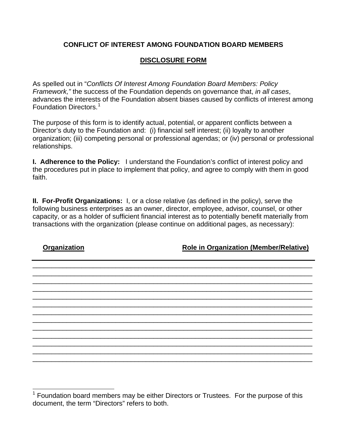## **CONFLICT OF INTEREST AMONG FOUNDATION BOARD MEMBERS**

## **DISCLOSURE FORM**

As spelled out in "*Conflicts Of Interest Among Foundation Board Members: Policy Framework,"* the success of the Foundation depends on governance that, *in all cases*, advances the interests of the Foundation absent biases caused by conflicts of interest among Foundation Directors.[1](#page-0-0)

The purpose of this form is to identify actual, potential, or apparent conflicts between a Director's duty to the Foundation and: (i) financial self interest; (ii) loyalty to another organization; (iii) competing personal or professional agendas; or (iv) personal or professional relationships.

**I. Adherence to the Policy:** I understand the Foundation's conflict of interest policy and the procedures put in place to implement that policy, and agree to comply with them in good faith.

**II. For-Profit Organizations:** I, or a close relative (as defined in the policy), serve the following business enterprises as an owner, director, employee, advisor, counsel, or other capacity, or as a holder of sufficient financial interest as to potentially benefit materially from transactions with the organization (please continue on additional pages, as necessary):

\_\_\_\_\_\_\_\_\_\_\_\_\_\_\_\_\_\_\_\_\_\_\_\_\_\_\_\_\_\_\_\_\_\_\_\_\_\_\_\_\_\_\_\_\_\_\_\_\_\_\_\_\_\_\_\_\_\_\_\_\_\_\_\_\_\_\_\_\_\_\_\_\_\_ \_\_\_\_\_\_\_\_\_\_\_\_\_\_\_\_\_\_\_\_\_\_\_\_\_\_\_\_\_\_\_\_\_\_\_\_\_\_\_\_\_\_\_\_\_\_\_\_\_\_\_\_\_\_\_\_\_\_\_\_\_\_\_\_\_\_\_\_\_\_\_\_\_\_ \_\_\_\_\_\_\_\_\_\_\_\_\_\_\_\_\_\_\_\_\_\_\_\_\_\_\_\_\_\_\_\_\_\_\_\_\_\_\_\_\_\_\_\_\_\_\_\_\_\_\_\_\_\_\_\_\_\_\_\_\_\_\_\_\_\_\_\_\_\_\_\_\_\_ \_\_\_\_\_\_\_\_\_\_\_\_\_\_\_\_\_\_\_\_\_\_\_\_\_\_\_\_\_\_\_\_\_\_\_\_\_\_\_\_\_\_\_\_\_\_\_\_\_\_\_\_\_\_\_\_\_\_\_\_\_\_\_\_\_\_\_\_\_\_\_\_\_\_ \_\_\_\_\_\_\_\_\_\_\_\_\_\_\_\_\_\_\_\_\_\_\_\_\_\_\_\_\_\_\_\_\_\_\_\_\_\_\_\_\_\_\_\_\_\_\_\_\_\_\_\_\_\_\_\_\_\_\_\_\_\_\_\_\_\_\_\_\_\_\_\_\_\_ \_\_\_\_\_\_\_\_\_\_\_\_\_\_\_\_\_\_\_\_\_\_\_\_\_\_\_\_\_\_\_\_\_\_\_\_\_\_\_\_\_\_\_\_\_\_\_\_\_\_\_\_\_\_\_\_\_\_\_\_\_\_\_\_\_\_\_\_\_\_\_\_\_\_ \_\_\_\_\_\_\_\_\_\_\_\_\_\_\_\_\_\_\_\_\_\_\_\_\_\_\_\_\_\_\_\_\_\_\_\_\_\_\_\_\_\_\_\_\_\_\_\_\_\_\_\_\_\_\_\_\_\_\_\_\_\_\_\_\_\_\_\_\_\_\_\_\_\_ \_\_\_\_\_\_\_\_\_\_\_\_\_\_\_\_\_\_\_\_\_\_\_\_\_\_\_\_\_\_\_\_\_\_\_\_\_\_\_\_\_\_\_\_\_\_\_\_\_\_\_\_\_\_\_\_\_\_\_\_\_\_\_\_\_\_\_\_\_\_\_\_\_\_ \_\_\_\_\_\_\_\_\_\_\_\_\_\_\_\_\_\_\_\_\_\_\_\_\_\_\_\_\_\_\_\_\_\_\_\_\_\_\_\_\_\_\_\_\_\_\_\_\_\_\_\_\_\_\_\_\_\_\_\_\_\_\_\_\_\_\_\_\_\_\_\_\_\_ \_\_\_\_\_\_\_\_\_\_\_\_\_\_\_\_\_\_\_\_\_\_\_\_\_\_\_\_\_\_\_\_\_\_\_\_\_\_\_\_\_\_\_\_\_\_\_\_\_\_\_\_\_\_\_\_\_\_\_\_\_\_\_\_\_\_\_\_\_\_\_\_\_\_ \_\_\_\_\_\_\_\_\_\_\_\_\_\_\_\_\_\_\_\_\_\_\_\_\_\_\_\_\_\_\_\_\_\_\_\_\_\_\_\_\_\_\_\_\_\_\_\_\_\_\_\_\_\_\_\_\_\_\_\_\_\_\_\_\_\_\_\_\_\_\_\_\_\_ \_\_\_\_\_\_\_\_\_\_\_\_\_\_\_\_\_\_\_\_\_\_\_\_\_\_\_\_\_\_\_\_\_\_\_\_\_\_\_\_\_\_\_\_\_\_\_\_\_\_\_\_\_\_\_\_\_\_\_\_\_\_\_\_\_\_\_\_\_\_\_\_\_\_ \_\_\_\_\_\_\_\_\_\_\_\_\_\_\_\_\_\_\_\_\_\_\_\_\_\_\_\_\_\_\_\_\_\_\_\_\_\_\_\_\_\_\_\_\_\_\_\_\_\_\_\_\_\_\_\_\_\_\_\_\_\_\_\_\_\_\_\_\_\_\_\_\_\_

l

**Organization Role in Organization (Member/Relative)**

<span id="page-0-0"></span> $1$  Foundation board members may be either Directors or Trustees. For the purpose of this document, the term "Directors" refers to both.